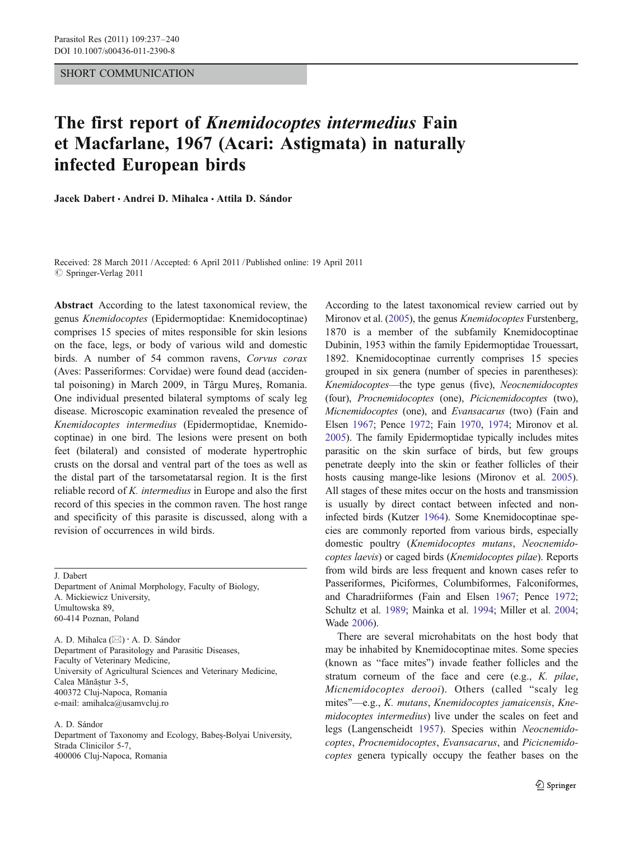## SHORT COMMUNICATION

## The first report of *Knemidocoptes intermedius* Fain et Macfarlane, 1967 (Acari: Astigmata) in naturally infected European birds

Jacek Dabert · Andrei D. Mihalca · Attila D. Sándor

Received: 28 March 2011 /Accepted: 6 April 2011 / Published online: 19 April 2011  $\circ$  Springer-Verlag 2011

Abstract According to the latest taxonomical review, the genus Knemidocoptes (Epidermoptidae: Knemidocoptinae) comprises 15 species of mites responsible for skin lesions on the face, legs, or body of various wild and domestic birds. A number of 54 common ravens, Corvus corax (Aves: Passeriformes: Corvidae) were found dead (accidental poisoning) in March 2009, in Târgu Mureş, Romania. One individual presented bilateral symptoms of scaly leg disease. Microscopic examination revealed the presence of Knemidocoptes intermedius (Epidermoptidae, Knemidocoptinae) in one bird. The lesions were present on both feet (bilateral) and consisted of moderate hypertrophic crusts on the dorsal and ventral part of the toes as well as the distal part of the tarsometatarsal region. It is the first reliable record of K. intermedius in Europe and also the first record of this species in the common raven. The host range and specificity of this parasite is discussed, along with a revision of occurrences in wild birds.

J. Dabert

Department of Animal Morphology, Faculty of Biology, A. Mickiewicz University, Umultowska 89, 60-414 Poznan, Poland

A. D. Mihalca ( $\boxtimes$ ) · A. D. Sándor Department of Parasitology and Parasitic Diseases, Faculty of Veterinary Medicine, University of Agricultural Sciences and Veterinary Medicine, Calea Mănăştur 3-5, 400372 Cluj-Napoca, Romania e-mail: amihalca@usamvcluj.ro

## A. D. Sándor

Department of Taxonomy and Ecology, Babeş-Bolyai University, Strada Clinicilor 5-7, 400006 Cluj-Napoca, Romania

According to the latest taxonomical review carried out by Mironov et al. ([2005](#page-3-0)), the genus *Knemidocoptes* Furstenberg, 1870 is a member of the subfamily Knemidocoptinae Dubinin, 1953 within the family Epidermoptidae Trouessart, 1892. Knemidocoptinae currently comprises 15 species grouped in six genera (number of species in parentheses): Knemidocoptes—the type genus (five), Neocnemidocoptes (four), Procnemidocoptes (one), Picicnemidocoptes (two), Micnemidocoptes (one), and Evansacarus (two) (Fain and Elsen [1967](#page-3-0); Pence [1972;](#page-3-0) Fain [1970,](#page-3-0) [1974;](#page-3-0) Mironov et al. [2005\)](#page-3-0). The family Epidermoptidae typically includes mites parasitic on the skin surface of birds, but few groups penetrate deeply into the skin or feather follicles of their hosts causing mange-like lesions (Mironov et al. [2005\)](#page-3-0). All stages of these mites occur on the hosts and transmission is usually by direct contact between infected and noninfected birds (Kutzer [1964](#page-3-0)). Some Knemidocoptinae species are commonly reported from various birds, especially domestic poultry (Knemidocoptes mutans, Neocnemidocoptes laevis) or caged birds (Knemidocoptes pilae). Reports from wild birds are less frequent and known cases refer to Passeriformes, Piciformes, Columbiformes, Falconiformes, and Charadriiformes (Fain and Elsen [1967;](#page-3-0) Pence [1972;](#page-3-0) Schultz et al. [1989;](#page-3-0) Mainka et al. [1994;](#page-3-0) Miller et al. [2004;](#page-3-0) Wade [2006\)](#page-3-0).

There are several microhabitats on the host body that may be inhabited by Knemidocoptinae mites. Some species (known as "face mites") invade feather follicles and the stratum corneum of the face and cere (e.g., K. pilae, Micnemidocoptes derooi). Others (called "scaly leg mites"—e.g., K. mutans, Knemidocoptes jamaicensis, Knemidocoptes intermedius) live under the scales on feet and legs (Langenscheidt [1957\)](#page-3-0). Species within Neocnemidocoptes, Procnemidocoptes, Evansacarus, and Picicnemidocoptes genera typically occupy the feather bases on the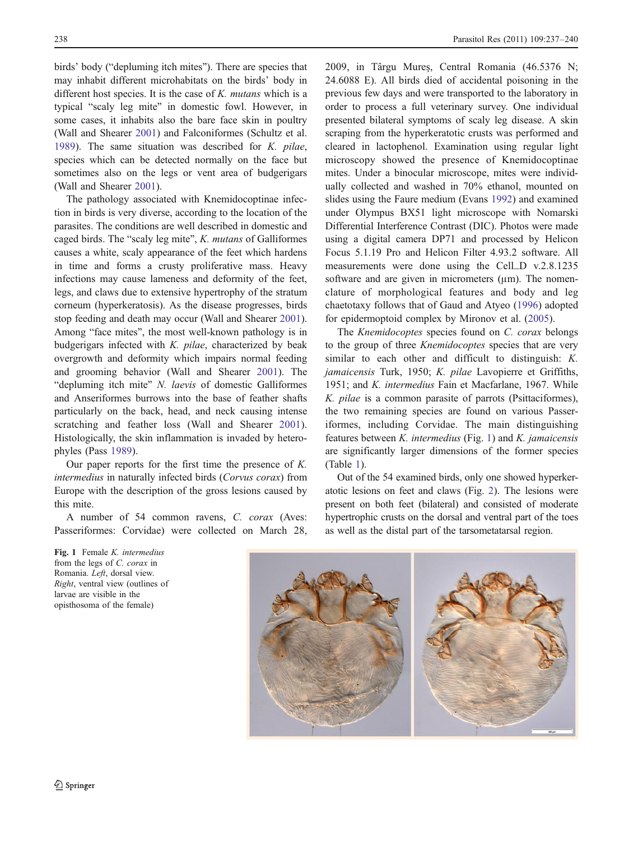<span id="page-1-0"></span>birds' body ("depluming itch mites"). There are species that may inhabit different microhabitats on the birds' body in different host species. It is the case of  $K$ . *mutans* which is a typical "scaly leg mite" in domestic fowl. However, in some cases, it inhabits also the bare face skin in poultry (Wall and Shearer [2001\)](#page-3-0) and Falconiformes (Schultz et al. [1989\)](#page-3-0). The same situation was described for K. pilae, species which can be detected normally on the face but sometimes also on the legs or vent area of budgerigars (Wall and Shearer [2001\)](#page-3-0).

The pathology associated with Knemidocoptinae infection in birds is very diverse, according to the location of the parasites. The conditions are well described in domestic and caged birds. The "scaly leg mite", K. mutans of Galliformes causes a white, scaly appearance of the feet which hardens in time and forms a crusty proliferative mass. Heavy infections may cause lameness and deformity of the feet, legs, and claws due to extensive hypertrophy of the stratum corneum (hyperkeratosis). As the disease progresses, birds stop feeding and death may occur (Wall and Shearer [2001](#page-3-0)). Among "face mites", the most well-known pathology is in budgerigars infected with K. pilae, characterized by beak overgrowth and deformity which impairs normal feeding and grooming behavior (Wall and Shearer [2001\)](#page-3-0). The "depluming itch mite" N. laevis of domestic Galliformes and Anseriformes burrows into the base of feather shafts particularly on the back, head, and neck causing intense scratching and feather loss (Wall and Shearer [2001](#page-3-0)). Histologically, the skin inflammation is invaded by heterophyles (Pass [1989](#page-3-0)).

Our paper reports for the first time the presence of  $K$ . intermedius in naturally infected birds (Corvus corax) from Europe with the description of the gross lesions caused by this mite.

A number of 54 common ravens, C. corax (Aves: Passeriformes: Corvidae) were collected on March 28, 2009, in Târgu Mureş, Central Romania (46.5376 N; 24.6088 E). All birds died of accidental poisoning in the previous few days and were transported to the laboratory in order to process a full veterinary survey. One individual presented bilateral symptoms of scaly leg disease. A skin scraping from the hyperkeratotic crusts was performed and cleared in lactophenol. Examination using regular light microscopy showed the presence of Knemidocoptinae mites. Under a binocular microscope, mites were individually collected and washed in 70% ethanol, mounted on slides using the Faure medium (Evans [1992](#page-3-0)) and examined under Olympus BX51 light microscope with Nomarski Differential Interference Contrast (DIC). Photos were made using a digital camera DP71 and processed by Helicon Focus 5.1.19 Pro and Helicon Filter 4.93.2 software. All measurements were done using the Cell\_D v.2.8.1235 software and are given in micrometers (μm). The nomenclature of morphological features and body and leg chaetotaxy follows that of Gaud and Atyeo ([1996\)](#page-3-0) adopted for epidermoptoid complex by Mironov et al. ([2005\)](#page-3-0).

The *Knemidocoptes* species found on *C. corax* belongs to the group of three Knemidocoptes species that are very similar to each other and difficult to distinguish: K. jamaicensis Turk, 1950; K. pilae Lavopierre et Griffiths, 1951; and K. intermedius Fain et Macfarlane, 1967. While K. pilae is a common parasite of parrots (Psittaciformes), the two remaining species are found on various Passeriformes, including Corvidae. The main distinguishing features between K. intermedius (Fig. 1) and K. jamaicensis are significantly larger dimensions of the former species (Table [1](#page-2-0)).

Out of the 54 examined birds, only one showed hyperkeratotic lesions on feet and claws (Fig. [2\)](#page-2-0). The lesions were present on both feet (bilateral) and consisted of moderate hypertrophic crusts on the dorsal and ventral part of the toes as well as the distal part of the tarsometatarsal region.

Fig. 1 Female K. intermedius from the legs of C. corax in Romania. Left, dorsal view. Right, ventral view (outlines of larvae are visible in the opisthosoma of the female)

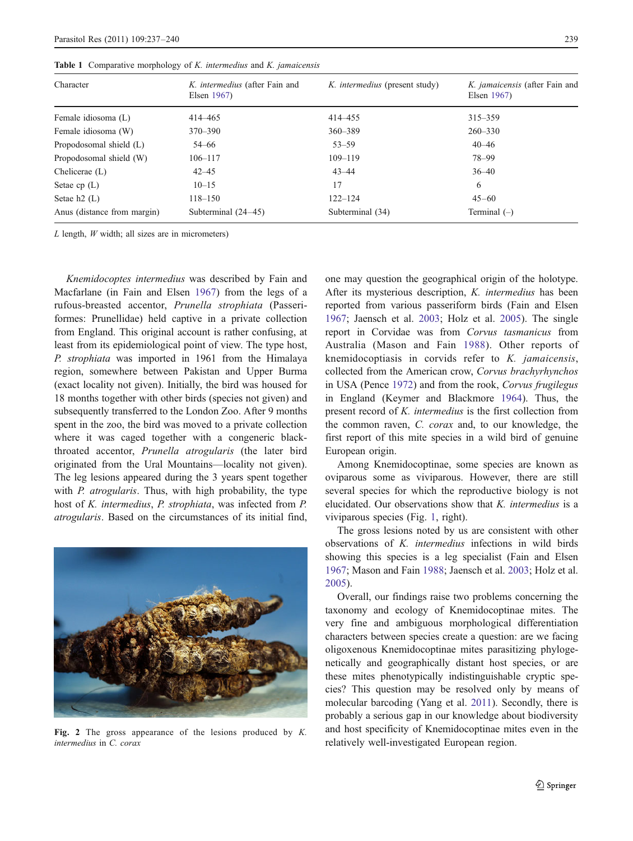| Character                   | K. intermedius (after Fain and<br>Elsen $1967$ | <i>K. intermedius</i> (present study) | K. jamaicensis (after Fain and<br>Elsen $1967$ |
|-----------------------------|------------------------------------------------|---------------------------------------|------------------------------------------------|
| Female idiosoma (L)         | 414–465                                        | 414 - 455                             | $315 - 359$                                    |
| Female idiosoma (W)         | $370 - 390$                                    | $360 - 389$                           | $260 - 330$                                    |
| Propodosomal shield (L)     | $54 - 66$                                      | $53 - 59$                             | $40 - 46$                                      |
| Propodosomal shield (W)     | $106 - 117$                                    | $109 - 119$                           | 78-99                                          |
| Chelicerae $(L)$            | $42 - 45$                                      | $43 - 44$                             | $36 - 40$                                      |
| Setae cp $(L)$              | $10 - 15$                                      | 17                                    | 6                                              |
| Setae $h2(L)$               | $118 - 150$                                    | $122 - 124$                           | $45 - 60$                                      |
| Anus (distance from margin) | Subterminal $(24-45)$                          | Subterminal (34)                      | Terminal $(-)$                                 |

<span id="page-2-0"></span>Table 1 Comparative morphology of  $K$ . intermedius and  $K$ . jamaicensis

 $L$  length,  $W$  width; all sizes are in micrometers)

Knemidocoptes intermedius was described by Fain and Macfarlane (in Fain and Elsen [1967](#page-3-0)) from the legs of a rufous-breasted accentor, Prunella strophiata (Passeriformes: Prunellidae) held captive in a private collection from England. This original account is rather confusing, at least from its epidemiological point of view. The type host, P. strophiata was imported in 1961 from the Himalaya region, somewhere between Pakistan and Upper Burma (exact locality not given). Initially, the bird was housed for 18 months together with other birds (species not given) and subsequently transferred to the London Zoo. After 9 months spent in the zoo, the bird was moved to a private collection where it was caged together with a congeneric blackthroated accentor, Prunella atrogularis (the later bird originated from the Ural Mountains—locality not given). The leg lesions appeared during the 3 years spent together with P. atrogularis. Thus, with high probability, the type host of K. intermedius, P. strophiata, was infected from P. atrogularis. Based on the circumstances of its initial find,



Fig. 2 The gross appearance of the lesions produced by  $K$ . intermedius in C. corax

one may question the geographical origin of the holotype. After its mysterious description, K. intermedius has been reported from various passeriform birds (Fain and Elsen [1967](#page-3-0); Jaensch et al. [2003](#page-3-0); Holz et al. [2005\)](#page-3-0). The single report in Corvidae was from Corvus tasmanicus from Australia (Mason and Fain [1988](#page-3-0)). Other reports of knemidocoptiasis in corvids refer to K. jamaicensis, collected from the American crow, Corvus brachyrhynchos in USA (Pence [1972\)](#page-3-0) and from the rook, Corvus frugilegus in England (Keymer and Blackmore [1964](#page-3-0)). Thus, the present record of K. intermedius is the first collection from the common raven, C. corax and, to our knowledge, the first report of this mite species in a wild bird of genuine European origin.

Among Knemidocoptinae, some species are known as oviparous some as viviparous. However, there are still several species for which the reproductive biology is not elucidated. Our observations show that K. intermedius is a viviparous species (Fig. [1](#page-1-0), right).

The gross lesions noted by us are consistent with other observations of K. intermedius infections in wild birds showing this species is a leg specialist (Fain and Elsen [1967](#page-3-0); Mason and Fain [1988;](#page-3-0) Jaensch et al. [2003](#page-3-0); Holz et al. [2005](#page-3-0)).

Overall, our findings raise two problems concerning the taxonomy and ecology of Knemidocoptinae mites. The very fine and ambiguous morphological differentiation characters between species create a question: are we facing oligoxenous Knemidocoptinae mites parasitizing phylogenetically and geographically distant host species, or are these mites phenotypically indistinguishable cryptic species? This question may be resolved only by means of molecular barcoding (Yang et al. [2011\)](#page-3-0). Secondly, there is probably a serious gap in our knowledge about biodiversity and host specificity of Knemidocoptinae mites even in the relatively well-investigated European region.